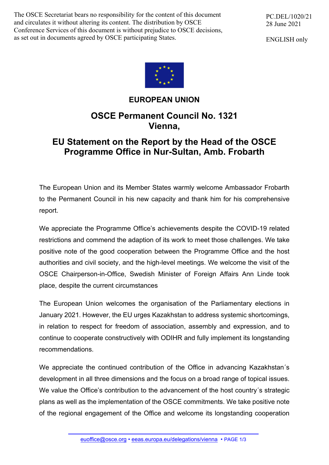The OSCE Secretariat bears no responsibility for the content of this document and circulates it without altering its content. The distribution by OSCE Conference Services of this document is without prejudice to OSCE decisions, as set out in documents agreed by OSCE participating States.

PC.DEL/1020/21 28 June 2021

ENGLISH only



## **EUROPEAN UNION**

## **OSCE Permanent Council No. 1321 Vienna,**

## **EU Statement on the Report by the Head of the OSCE Programme Office in Nur-Sultan, Amb. Frobarth**

The European Union and its Member States warmly welcome Ambassador Frobarth to the Permanent Council in his new capacity and thank him for his comprehensive report.

We appreciate the Programme Office's achievements despite the COVID-19 related restrictions and commend the adaption of its work to meet those challenges. We take positive note of the good cooperation between the Programme Office and the host authorities and civil society, and the high-level meetings. We welcome the visit of the OSCE Chairperson-in-Office, Swedish Minister of Foreign Affairs Ann Linde took place, despite the current circumstances

The European Union welcomes the organisation of the Parliamentary elections in January 2021. However, the EU urges Kazakhstan to address systemic shortcomings, in relation to respect for freedom of association, assembly and expression, and to continue to cooperate constructively with ODIHR and fully implement its longstanding recommendations.

We appreciate the continued contribution of the Office in advancing Kazakhstan's development in all three dimensions and the focus on a broad range of topical issues. We value the Office's contribution to the advancement of the host country´s strategic plans as well as the implementation of the OSCE commitments. We take positive note of the regional engagement of the Office and welcome its longstanding cooperation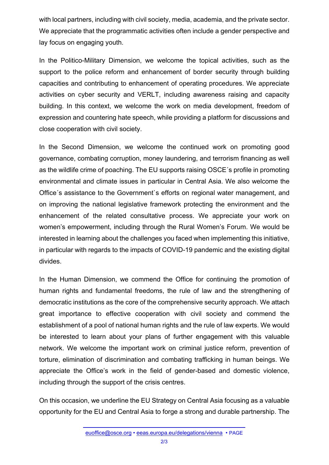with local partners, including with civil society, media, academia, and the private sector. We appreciate that the programmatic activities often include a gender perspective and lay focus on engaging youth.

In the Politico-Military Dimension, we welcome the topical activities, such as the support to the police reform and enhancement of border security through building capacities and contributing to enhancement of operating procedures. We appreciate activities on cyber security and VERLT, including awareness raising and capacity building. In this context, we welcome the work on media development, freedom of expression and countering hate speech, while providing a platform for discussions and close cooperation with civil society.

In the Second Dimension, we welcome the continued work on promoting good governance, combating corruption, money laundering, and terrorism financing as well as the wildlife crime of poaching. The EU supports raising OSCE´s profile in promoting environmental and climate issues in particular in Central Asia. We also welcome the Office´s assistance to the Government`s efforts on regional water management, and on improving the national legislative framework protecting the environment and the enhancement of the related consultative process. We appreciate your work on women's empowerment, including through the Rural Women's Forum. We would be interested in learning about the challenges you faced when implementing this initiative, in particular with regards to the impacts of COVID-19 pandemic and the existing digital divides.

In the Human Dimension, we commend the Office for continuing the promotion of human rights and fundamental freedoms, the rule of law and the strengthening of democratic institutions as the core of the comprehensive security approach. We attach great importance to effective cooperation with civil society and commend the establishment of a pool of national human rights and the rule of law experts. We would be interested to learn about your plans of further engagement with this valuable network. We welcome the important work on criminal justice reform, prevention of torture, elimination of discrimination and combating trafficking in human beings. We appreciate the Office's work in the field of gender-based and domestic violence, including through the support of the crisis centres.

On this occasion, we underline the EU Strategy on Central Asia focusing as a valuable opportunity for the EU and Central Asia to forge a strong and durable partnership. The